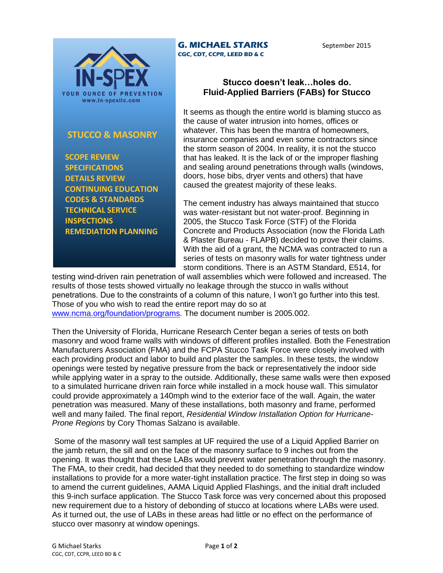

## **STUCCO & MASONRY**

 **SCOPE REVIEW SPECIFICATIONS DETAILS REVIEW CONTINUING EDUCATION CODES & STANDARDS TECHNICAL SERVICE INSPECTIONS REMEDIATION PLANNING**

## **Stucco doesn't leak…holes do. Fluid-Applied Barriers (FABs) for Stucco**

It seems as though the entire world is blaming stucco as the cause of water intrusion into homes, offices or whatever. This has been the mantra of homeowners, insurance companies and even some contractors since the storm season of 2004. In reality, it is not the stucco that has leaked. It is the lack of or the improper flashing and sealing around penetrations through walls (windows, doors, hose bibs, dryer vents and others) that have caused the greatest majority of these leaks.

The cement industry has always maintained that stucco was water-resistant but not water-proof. Beginning in 2005, the Stucco Task Force (STF) of the Florida Concrete and Products Association (now the Florida Lath & Plaster Bureau - FLAPB) decided to prove their claims. With the aid of a grant, the NCMA was contracted to run a series of tests on masonry walls for water tightness under storm conditions. There is an ASTM Standard, E514, for

testing wind-driven rain penetration of wall assemblies which were followed and increased. The results of those tests showed virtually no leakage through the stucco in walls without penetrations. Due to the constraints of a column of this nature, I won't go further into this test. Those of you who wish to read the entire report may do so at [www.ncma.org/foundation/programs.](http://www.ncma.org/foundation/programs) The document number is 2005.002.

**G. MICHAEL STARKS CGC, CDT, CCPR, LEED BD & C**

Then the University of Florida, Hurricane Research Center began a series of tests on both masonry and wood frame walls with windows of different profiles installed. Both the Fenestration Manufacturers Association (FMA) and the FCPA Stucco Task Force were closely involved with each providing product and labor to build and plaster the samples. In these tests, the window openings were tested by negative pressure from the back or representatively the indoor side while applying water in a spray to the outside. Additionally, these same walls were then exposed to a simulated hurricane driven rain force while installed in a mock house wall. This simulator could provide approximately a 140mph wind to the exterior face of the wall. Again, the water penetration was measured. Many of these installations, both masonry and frame, performed well and many failed. The final report, *Residential Window Installation Option for Hurricane-Prone Regions* by Cory Thomas Salzano is available.

Some of the masonry wall test samples at UF required the use of a Liquid Applied Barrier on the jamb return, the sill and on the face of the masonry surface to 9 inches out from the opening. It was thought that these LABs would prevent water penetration through the masonry. The FMA, to their credit, had decided that they needed to do something to standardize window installations to provide for a more water-tight installation practice. The first step in doing so was to amend the current guidelines, AAMA Liquid Applied Flashings, and the initial draft included this 9-inch surface application. The Stucco Task force was very concerned about this proposed new requirement due to a history of debonding of stucco at locations where LABs were used. As it turned out, the use of LABs in these areas had little or no effect on the performance of stucco over masonry at window openings.